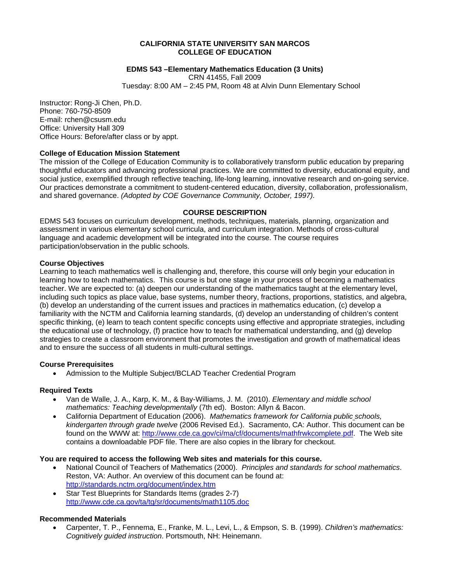# **CALIFORNIA STATE UNIVERSITY SAN MARCOS COLLEGE OF EDUCATION**

# **EDMS 543 –Elementary Mathematics Education (3 Units)**

CRN 41455, Fall 2009 Tuesday: 8:00 AM – 2:45 PM, Room 48 at Alvin Dunn Elementary School

Instructor: Rong-Ji Chen, Ph.D. Phone: 760-750-8509 E-mail: rchen@csusm.edu Office: University Hall 309 Office Hours: Before/after class or by appt.

# **College of Education Mission Statement**

The mission of the College of Education Community is to collaboratively transform public education by preparing thoughtful educators and advancing professional practices. We are committed to diversity, educational equity, and social justice, exemplified through reflective teaching, life-long learning, innovative research and on-going service. Our practices demonstrate a commitment to student-centered education, diversity, collaboration, professionalism, and shared governance. *(Adopted by COE Governance Community, October, 1997).* 

# **COURSE DESCRIPTION**

EDMS 543 focuses on curriculum development, methods, techniques, materials, planning, organization and assessment in various elementary school curricula, and curriculum integration. Methods of cross-cultural language and academic development will be integrated into the course. The course requires participation/observation in the public schools.

# **Course Objectives**

Learning to teach mathematics well is challenging and, therefore, this course will only begin your education in learning how to teach mathematics. This course is but one stage in your process of becoming a mathematics teacher. We are expected to: (a) deepen our understanding of the mathematics taught at the elementary level, including such topics as place value, base systems, number theory, fractions, proportions, statistics, and algebra, (b) develop an understanding of the current issues and practices in mathematics education, (c) develop a familiarity with the NCTM and California learning standards, (d) develop an understanding of children's content specific thinking, (e) learn to teach content specific concepts using effective and appropriate strategies, including the educational use of technology, (f) practice how to teach for mathematical understanding, and (g) develop strategies to create a classroom environment that promotes the investigation and growth of mathematical ideas and to ensure the success of all students in multi-cultural settings.

# **Course Prerequisites**

Admission to the Multiple Subject/BCLAD Teacher Credential Program

## **Required Texts**

- • Van de Walle, J. A., Karp, K. M., & Bay-Williams, J. M. (2010). *Elementary and middle school mathematics: Teaching developmentally* (7th ed). Boston: Allyn & Bacon.
- California Department of Education (2006). *Mathematics framework for California public schools*, *kindergarten through grade twelve* (2006 Revised Ed.). Sacramento, CA: Author. This document can be found on the WWW at: http://www.cde.ca.gov/ci/ma/cf/documents/mathfrwkcomplete.pdf. The Web site contains a downloadable PDF file. There are also copies in the library for checkout.

## **You are required to access the following Web sites and materials for this course.**

- National Council of Teachers of Mathematics (2000). Principles and standards for school mathematics. Reston, VA: Author. An overview of this document can be found at: http://standards.nctm.org/document/index.htm
- Star Test Blueprints for Standards Items (grades 2-7) http://www.cde.ca.gov/ta/tg/sr/documents/math1105.doc

## **Recommended Materials**

• Carpenter, T. P., Fennema, E., Franke, M. L., Levi, L., & Empson, S. B. (1999). *Children's mathematics: Cognitively guided instruction*. Portsmouth, NH: Heinemann.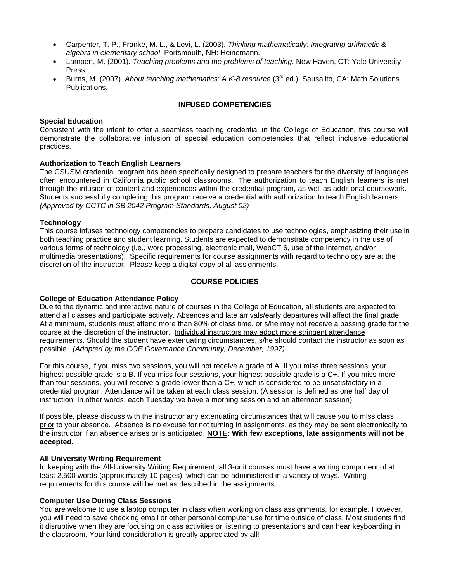- • Carpenter, T. P., Franke, M. L., & Levi, L. (2003). *Thinking mathematically: Integrating arithmetic & algebra in elementary school*. Portsmouth, NH: Heinemann.
- • Lampert, M. (2001). *Teaching problems and the problems of teaching*. New Haven, CT: Yale University Press.
- • Burns, M. (2007). *About teaching mathematics: A K-8 resource* (3rd ed.). Sausalito, CA: Math Solutions Publications.

## **INFUSED COMPETENCIES**

#### **Special Education**

Consistent with the intent to offer a seamless teaching credential in the College of Education, this course will demonstrate the collaborative infusion of special education competencies that reflect inclusive educational practices.

## **Authorization to Teach English Learners**

 through the infusion of content and experiences within the credential program, as well as additional coursework. The CSUSM credential program has been specifically designed to prepare teachers for the diversity of languages often encountered in California public school classrooms. The authorization to teach English learners is met Students successfully completing this program receive a credential with authorization to teach English learners. *(Approved by CCTC in SB 2042 Program Standards, August 02)* 

#### **Technology**

This course infuses technology competencies to prepare candidates to use technologies, emphasizing their use in both teaching practice and student learning. Students are expected to demonstrate competency in the use of various forms of technology (i.e., word processing, electronic mail, WebCT 6, use of the Internet, and/or multimedia presentations). Specific requirements for course assignments with regard to technology are at the discretion of the instructor. Please keep a digital copy of all assignments.

#### **COURSE POLICIES**

## **College of Education Attendance Policy**

 possible. *(Adopted by the COE Governance Community, December, 1997).* Due to the dynamic and interactive nature of courses in the College of Education, all students are expected to attend all classes and participate actively. Absences and late arrivals/early departures will affect the final grade. At a minimum, students must attend more than 80% of class time, or s/he may not receive a passing grade for the course at the discretion of the instructor. Individual instructors may adopt more stringent attendance requirements. Should the student have extenuating circumstances, s/he should contact the instructor as soon as

For this course, if you miss two sessions, you will not receive a grade of A. If you miss three sessions, your highest possible grade is a B. If you miss four sessions, your highest possible grade is a C+. If you miss more than four sessions, you will receive a grade lower than a C+, which is considered to be unsatisfactory in a credential program. Attendance will be taken at each class session. (A session is defined as one half day of instruction. In other words, each Tuesday we have a morning session and an afternoon session).

If possible, please discuss with the instructor any extenuating circumstances that will cause you to miss class prior to your absence. Absence is no excuse for not turning in assignments, as they may be sent electronically to the instructor if an absence arises or is anticipated. **NOTE: With few exceptions, late assignments will not be accepted.** 

#### **All University Writing Requirement**

In keeping with the All-University Writing Requirement, all 3-unit courses must have a writing component of at least 2,500 words (approximately 10 pages), which can be administered in a variety of ways. Writing requirements for this course will be met as described in the assignments.

## **Computer Use During Class Sessions**

You are welcome to use a laptop computer in class when working on class assignments, for example. However, you will need to save checking email or other personal computer use for time outside of class. Most students find it disruptive when they are focusing on class activities or listening to presentations and can hear keyboarding in the classroom. Your kind consideration is greatly appreciated by all!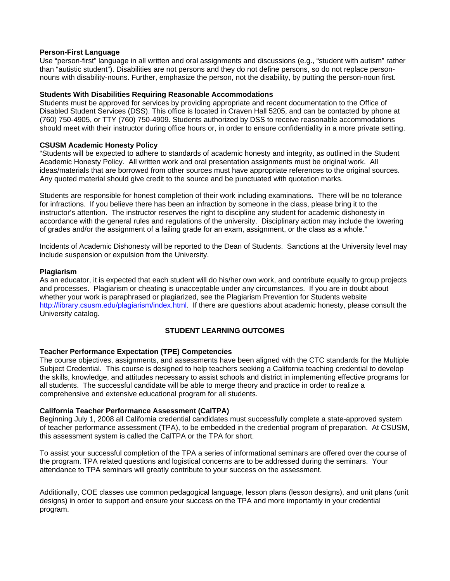## **Person-First Language**

Use "person-first" language in all written and oral assignments and discussions (e.g., "student with autism" rather than "autistic student"). Disabilities are not persons and they do not define persons, so do not replace personnouns with disability-nouns. Further, emphasize the person, not the disability, by putting the person-noun first.

#### **Students With Disabilities Requiring Reasonable Accommodations**

Students must be approved for services by providing appropriate and recent documentation to the Office of Disabled Student Services (DSS). This office is located in Craven Hall 5205, and can be contacted by phone at (760) 750-4905, or TTY (760) 750-4909. Students authorized by DSS to receive reasonable accommodations should meet with their instructor during office hours or, in order to ensure confidentiality in a more private setting.

#### **CSUSM Academic Honesty Policy**

"Students will be expected to adhere to standards of academic honesty and integrity, as outlined in the Student Academic Honesty Policy. All written work and oral presentation assignments must be original work. All ideas/materials that are borrowed from other sources must have appropriate references to the original sources. Any quoted material should give credit to the source and be punctuated with quotation marks.

Students are responsible for honest completion of their work including examinations. There will be no tolerance for infractions. If you believe there has been an infraction by someone in the class, please bring it to the instructor's attention. The instructor reserves the right to discipline any student for academic dishonesty in accordance with the general rules and regulations of the university. Disciplinary action may include the lowering of grades and/or the assignment of a failing grade for an exam, assignment, or the class as a whole."

Incidents of Academic Dishonesty will be reported to the Dean of Students. Sanctions at the University level may include suspension or expulsion from the University.

#### **Plagiarism**

As an educator, it is expected that each student will do his/her own work, and contribute equally to group projects and processes. Plagiarism or cheating is unacceptable under any circumstances. If you are in doubt about whether your work is paraphrased or plagiarized, see the Plagiarism Prevention for Students website http://library.csusm.edu/plagiarism/index.html. If there are questions about academic honesty, please consult the University catalog.

# **STUDENT LEARNING OUTCOMES**

## **Teacher Performance Expectation (TPE) Competencies**

The course objectives, assignments, and assessments have been aligned with the CTC standards for the Multiple Subject Credential. This course is designed to help teachers seeking a California teaching credential to develop the skills, knowledge, and attitudes necessary to assist schools and district in implementing effective programs for all students. The successful candidate will be able to merge theory and practice in order to realize a comprehensive and extensive educational program for all students.

## **California Teacher Performance Assessment (CalTPA)**

Beginning July 1, 2008 all California credential candidates must successfully complete a state-approved system of teacher performance assessment (TPA), to be embedded in the credential program of preparation. At CSUSM, this assessment system is called the CalTPA or the TPA for short.

To assist your successful completion of the TPA a series of informational seminars are offered over the course of the program. TPA related questions and logistical concerns are to be addressed during the seminars. Your attendance to TPA seminars will greatly contribute to your success on the assessment.

Additionally, COE classes use common pedagogical language, lesson plans (lesson designs), and unit plans (unit designs) in order to support and ensure your success on the TPA and more importantly in your credential program.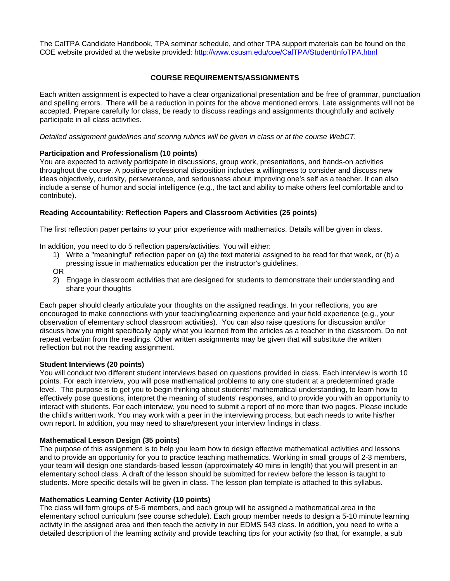The CalTPA Candidate Handbook, TPA seminar schedule, and other TPA support materials can be found on the COE website provided at the website provided: http://www.csusm.edu/coe/CalTPA/StudentInfoTPA.html

# **COURSE REQUIREMENTS/ASSIGNMENTS**

Each written assignment is expected to have a clear organizational presentation and be free of grammar, punctuation and spelling errors. There will be a reduction in points for the above mentioned errors. Late assignments will not be accepted. Prepare carefully for class, be ready to discuss readings and assignments thoughtfully and actively participate in all class activities.

*Detailed assignment guidelines and scoring rubrics will be given in class or at the course WebCT.* 

# **Participation and Professionalism (10 points)**

You are expected to actively participate in discussions, group work, presentations, and hands-on activities throughout the course. A positive professional disposition includes a willingness to consider and discuss new ideas objectively, curiosity, perseverance, and seriousness about improving one's self as a teacher. It can also include a sense of humor and social intelligence (e.g., the tact and ability to make others feel comfortable and to contribute).

# **Reading Accountability: Reflection Papers and Classroom Activities (25 points)**

The first reflection paper pertains to your prior experience with mathematics. Details will be given in class.

In addition, you need to do 5 reflection papers/activities. You will either:

- 1) Write a "meaningful" reflection paper on (a) the text material assigned to be read for that week, or (b) a pressing issue in mathematics education per the instructor's guidelines.
- OR
- 2) Engage in classroom activities that are designed for students to demonstrate their understanding and share your thoughts

Each paper should clearly articulate your thoughts on the assigned readings. In your reflections, you are encouraged to make connections with your teaching/learning experience and your field experience (e.g., your observation of elementary school classroom activities). You can also raise questions for discussion and/or discuss how you might specifically apply what you learned from the articles as a teacher in the classroom. Do not repeat verbatim from the readings. Other written assignments may be given that will substitute the written reflection but not the reading assignment.

# **Student Interviews (20 points)**

You will conduct two different student interviews based on questions provided in class. Each interview is worth 10 points. For each interview, you will pose mathematical problems to any one student at a predetermined grade level. The purpose is to get you to begin thinking about students' mathematical understanding, to learn how to effectively pose questions, interpret the meaning of students' responses, and to provide you with an opportunity to interact with students. For each interview, you need to submit a report of no more than two pages. Please include the child's written work. You may work with a peer in the interviewing process, but each needs to write his/her own report. In addition, you may need to share/present your interview findings in class.

# **Mathematical Lesson Design (35 points)**

The purpose of this assignment is to help you learn how to design effective mathematical activities and lessons and to provide an opportunity for you to practice teaching mathematics. Working in small groups of 2-3 members, your team will design one standards-based lesson (approximately 40 mins in length) that you will present in an elementary school class. A draft of the lesson should be submitted for review before the lesson is taught to students. More specific details will be given in class. The lesson plan template is attached to this syllabus.

# **Mathematics Learning Center Activity (10 points)**

The class will form groups of 5-6 members, and each group will be assigned a mathematical area in the elementary school curriculum (see course schedule). Each group member needs to design a 5-10 minute learning activity in the assigned area and then teach the activity in our EDMS 543 class. In addition, you need to write a detailed description of the learning activity and provide teaching tips for your activity (so that, for example, a sub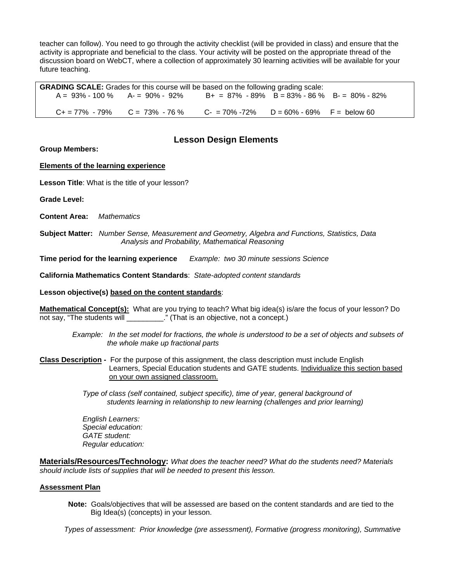teacher can follow). You need to go through the activity checklist (will be provided in class) and ensure that the activity is appropriate and beneficial to the class. Your activity will be posted on the appropriate thread of the discussion board on WebCT, where a collection of approximately 30 learning activities will be available for your future teaching.

 A = 93% - 100 % A- = 90% - 92% B+ = 87% - 89% B = 83% - 86 % B- = 80% - 82%  $D = 60\% - 69\%$  F = below 60 **GRADING SCALE:** Grades for this course will be based on the following grading scale:  $C+=77\% -79\%$  C = 73% - 76 % C = 70% - 72%

# **Lesson Design Elements**

**Group Members:** 

# **Elements of the learning experience**

**Lesson Title**: What is the title of your lesson?

**Grade Level:** 

**Content Area:** *Mathematics* 

 **Subject Matter:** *Number Sense, Measurement and Geometry, Algebra and Functions, Statistics, Data Analysis and Probability, Mathematical Reasoning* 

**Time period for the learning experience** *Example: two 30 minute sessions Science* 

**California Mathematics Content Standards**: *State-adopted content standards* 

**Lesson objective(s) based on the content standards**:

**Mathematical Concept(s):** What are you trying to teach? What big idea(s) is/are the focus of your lesson? Do not say, "The students will \_\_\_\_\_\_\_\_\_\_." (That is an objective, not a concept.)

*Example: In the set model for fractions, the whole is understood to be a set of objects and subsets of the whole make up fractional parts* 

**Class Description -** For the purpose of this assignment, the class description must include English Learners, Special Education students and GATE students. Individualize this section based on your own assigned classroom.

> *Type of class (self contained, subject specific), time of year, general background of students learning in relationship to new learning (challenges and prior learning)*

*English Learners: Special education: GATE student: Regular education:* 

**Materials/Resources/Technology:** *What does the teacher need? What do the students need? Materials should include lists of supplies that will be needed to present this lesson.* 

## **Assessment Plan**

**Note:** Goals/objectives that will be assessed are based on the content standards and are tied to the Big Idea(s) (concepts) in your lesson.

 *Types of assessment: Prior knowledge (pre assessment), Formative (progress monitoring), Summative*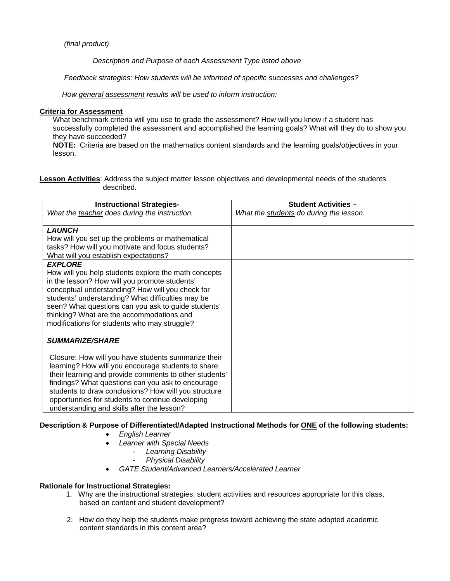# *(final product)*

 *Description and Purpose of each Assessment Type listed above* 

 *Feedback strategies: How students will be informed of specific successes and challenges?*

 *How general assessment results will be used to inform instruction:* 

# **Criteria for Assessment**

What benchmark criteria will you use to grade the assessment? How will you know if a student has successfully completed the assessment and accomplished the learning goals? What will they do to show you they have succeeded?

**NOTE:** Criteria are based on the mathematics content standards and the learning goals/objectives in your lesson.

**Lesson Activities**: Address the subject matter lesson objectives and developmental needs of the students described.

| <b>Instructional Strategies-</b><br>What the teacher does during the instruction.                                                                                                                                                                                                                                                                                                                             | <b>Student Activities -</b><br>What the students do during the lesson. |
|---------------------------------------------------------------------------------------------------------------------------------------------------------------------------------------------------------------------------------------------------------------------------------------------------------------------------------------------------------------------------------------------------------------|------------------------------------------------------------------------|
| <b>LAUNCH</b><br>How will you set up the problems or mathematical<br>tasks? How will you motivate and focus students?<br>What will you establish expectations?<br><b>EXPLORE</b><br>How will you help students explore the math concepts                                                                                                                                                                      |                                                                        |
| in the lesson? How will you promote students'<br>conceptual understanding? How will you check for<br>students' understanding? What difficulties may be<br>seen? What questions can you ask to guide students'<br>thinking? What are the accommodations and<br>modifications for students who may struggle?                                                                                                    |                                                                        |
| <b>SUMMARIZE/SHARE</b><br>Closure: How will you have students summarize their<br>learning? How will you encourage students to share<br>their learning and provide comments to other students'<br>findings? What questions can you ask to encourage<br>students to draw conclusions? How will you structure<br>opportunities for students to continue developing<br>understanding and skills after the lesson? |                                                                        |

**Description & Purpose of Differentiated/Adapted Instructional Methods for ONE of the following students:** 

- • *English Learner*
- • *Learner with Special Needs* 
	- *Learning Disability* 
		- *Physical Disability*
- • *GATE Student/Advanced Learners/Accelerated Learner*

# **Rationale for Instructional Strategies:**

- 1. Why are the instructional strategies, student activities and resources appropriate for this class, based on content and student development?
- 2. How do they help the students make progress toward achieving the state adopted academic content standards in this content area?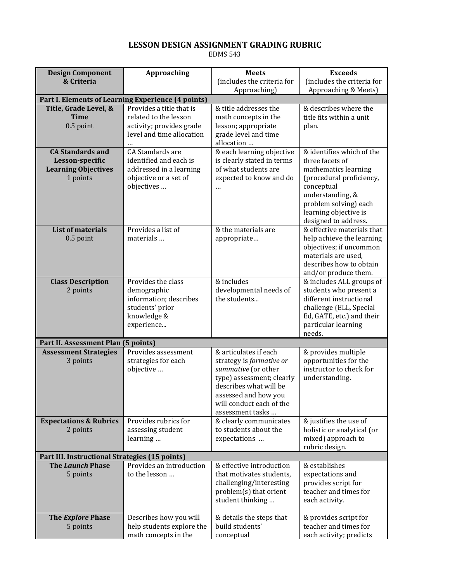# **LESSON DESIGN ASSIGNMENT GRADING RUBRIC**

EDMS 543

| <b>Design Component</b>                            | <b>Approaching</b>                    | <b>Meets</b>                                       | <b>Exceeds</b>                                       |  |  |
|----------------------------------------------------|---------------------------------------|----------------------------------------------------|------------------------------------------------------|--|--|
| & Criteria                                         |                                       | (includes the criteria for                         | (includes the criteria for                           |  |  |
|                                                    |                                       | Approaching)                                       | Approaching & Meets)                                 |  |  |
| Part I. Elements of Learning Experience (4 points) |                                       |                                                    |                                                      |  |  |
| Title, Grade Level, &                              | Provides a title that is              | & title addresses the                              | & describes where the                                |  |  |
| <b>Time</b>                                        | related to the lesson                 | math concepts in the                               | title fits within a unit                             |  |  |
| $0.5$ point                                        | activity; provides grade              | lesson; appropriate                                | plan.                                                |  |  |
|                                                    | level and time allocation             | grade level and time                               |                                                      |  |  |
|                                                    | CA Standards are                      | allocation                                         |                                                      |  |  |
| <b>CA Standards and</b><br>Lesson-specific         | identified and each is                | & each learning objective                          | & identifies which of the<br>three facets of         |  |  |
| <b>Learning Objectives</b>                         | addressed in a learning               | is clearly stated in terms<br>of what students are | mathematics learning                                 |  |  |
| 1 points                                           | objective or a set of                 | expected to know and do                            | (procedural proficiency,                             |  |  |
|                                                    | objectives                            | $\ddotsc$                                          | conceptual                                           |  |  |
|                                                    |                                       |                                                    | understanding, &                                     |  |  |
|                                                    |                                       |                                                    | problem solving) each                                |  |  |
|                                                    |                                       |                                                    | learning objective is                                |  |  |
|                                                    |                                       |                                                    | designed to address.                                 |  |  |
| <b>List of materials</b>                           | Provides a list of                    | & the materials are                                | & effective materials that                           |  |  |
| $0.5$ point                                        | materials                             | appropriate                                        | help achieve the learning                            |  |  |
|                                                    |                                       |                                                    | objectives; if uncommon                              |  |  |
|                                                    |                                       |                                                    | materials are used,                                  |  |  |
|                                                    |                                       |                                                    | describes how to obtain                              |  |  |
|                                                    |                                       |                                                    | and/or produce them.                                 |  |  |
| <b>Class Description</b>                           | Provides the class                    | & includes                                         | & includes ALL groups of                             |  |  |
| 2 points                                           | demographic<br>information; describes | developmental needs of<br>the students             | students who present a<br>different instructional    |  |  |
|                                                    | students' prior                       |                                                    | challenge (ELL, Special                              |  |  |
|                                                    | knowledge &                           |                                                    | Ed, GATE, etc.) and their                            |  |  |
|                                                    | experience                            |                                                    | particular learning                                  |  |  |
|                                                    |                                       |                                                    | needs.                                               |  |  |
| Part II. Assessment Plan (5 points)                |                                       |                                                    |                                                      |  |  |
| <b>Assessment Strategies</b>                       | Provides assessment                   | & articulates if each                              | & provides multiple                                  |  |  |
| 3 points                                           | strategies for each                   | strategy is formative or                           | opportunities for the                                |  |  |
|                                                    | objective                             | summative (or other                                | instructor to check for                              |  |  |
|                                                    |                                       | type) assessment; clearly                          | understanding.                                       |  |  |
|                                                    |                                       | describes what will be                             |                                                      |  |  |
|                                                    |                                       | assessed and how you                               |                                                      |  |  |
|                                                    |                                       | will conduct each of the                           |                                                      |  |  |
|                                                    | Provides rubrics for                  | assessment tasks                                   |                                                      |  |  |
| <b>Expectations &amp; Rubrics</b><br>2 points      | assessing student                     | & clearly communicates<br>to students about the    | & justifies the use of<br>holistic or analytical (or |  |  |
|                                                    | learning                              | expectations                                       | mixed) approach to                                   |  |  |
|                                                    |                                       |                                                    | rubric design.                                       |  |  |
| Part III. Instructional Strategies (15 points)     |                                       |                                                    |                                                      |  |  |
| <b>The Launch Phase</b>                            | Provides an introduction              | & effective introduction                           | & establishes                                        |  |  |
| 5 points                                           | to the lesson                         | that motivates students,                           | expectations and                                     |  |  |
|                                                    |                                       | challenging/interesting                            | provides script for                                  |  |  |
|                                                    |                                       | problem(s) that orient                             | teacher and times for                                |  |  |
|                                                    |                                       | student thinking                                   | each activity.                                       |  |  |
|                                                    |                                       |                                                    |                                                      |  |  |
| The Explore Phase                                  | Describes how you will                | & details the steps that                           | & provides script for                                |  |  |
| 5 points                                           | help students explore the             | build students'                                    | teacher and times for                                |  |  |
|                                                    | math concepts in the                  | conceptual                                         | each activity; predicts                              |  |  |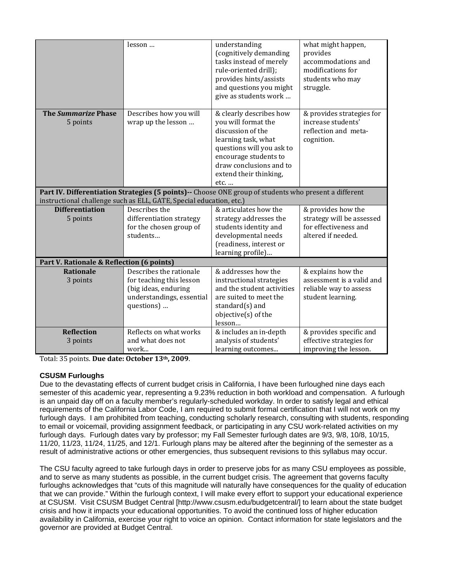|                                           | lesson                                                                                                | understanding                                     | what might happen,             |  |
|-------------------------------------------|-------------------------------------------------------------------------------------------------------|---------------------------------------------------|--------------------------------|--|
|                                           |                                                                                                       | (cognitively demanding<br>tasks instead of merely | provides<br>accommodations and |  |
|                                           |                                                                                                       |                                                   | modifications for              |  |
|                                           |                                                                                                       | rule-oriented drill);                             |                                |  |
|                                           |                                                                                                       | provides hints/assists                            | students who may               |  |
|                                           |                                                                                                       | and questions you might                           | struggle.                      |  |
|                                           |                                                                                                       | give as students work                             |                                |  |
| <b>The Summarize Phase</b>                | Describes how you will                                                                                | & clearly describes how                           | & provides strategies for      |  |
| 5 points                                  | wrap up the lesson                                                                                    | you will format the                               | increase students'             |  |
|                                           |                                                                                                       | discussion of the                                 | reflection and meta-           |  |
|                                           |                                                                                                       | learning task, what                               | cognition.                     |  |
|                                           |                                                                                                       | questions will you ask to                         |                                |  |
|                                           |                                                                                                       | encourage students to                             |                                |  |
|                                           |                                                                                                       | draw conclusions and to                           |                                |  |
|                                           |                                                                                                       | extend their thinking,                            |                                |  |
|                                           |                                                                                                       | etc.                                              |                                |  |
|                                           | Part IV. Differentiation Strategies (5 points)-- Choose ONE group of students who present a different |                                                   |                                |  |
|                                           | instructional challenge such as ELL, GATE, Special education, etc.)                                   |                                                   |                                |  |
| <b>Differentiation</b>                    | Describes the                                                                                         | & articulates how the                             | & provides how the             |  |
| 5 points                                  | differentiation strategy                                                                              | strategy addresses the                            | strategy will be assessed      |  |
|                                           | for the chosen group of                                                                               | students identity and                             | for effectiveness and          |  |
|                                           | students                                                                                              | developmental needs                               | altered if needed.             |  |
|                                           |                                                                                                       | (readiness, interest or                           |                                |  |
|                                           |                                                                                                       | learning profile)                                 |                                |  |
| Part V. Rationale & Reflection (6 points) |                                                                                                       |                                                   |                                |  |
| <b>Rationale</b>                          | Describes the rationale                                                                               | & addresses how the                               | & explains how the             |  |
| 3 points                                  | for teaching this lesson                                                                              | instructional strategies                          | assessment is a valid and      |  |
|                                           | (big ideas, enduring                                                                                  | and the student activities                        | reliable way to assess         |  |
|                                           | understandings, essential                                                                             | are suited to meet the                            | student learning.              |  |
|                                           | questions)                                                                                            | standard(s) and                                   |                                |  |
|                                           |                                                                                                       | objective(s) of the                               |                                |  |
|                                           |                                                                                                       | lesson                                            |                                |  |
| <b>Reflection</b>                         | Reflects on what works                                                                                | & includes an in-depth                            | & provides specific and        |  |
| 3 points                                  | and what does not                                                                                     | analysis of students'                             | effective strategies for       |  |
|                                           | work                                                                                                  | learning outcomes                                 | improving the lesson.          |  |

 Total: 35 points. **Due date: October 13th, 2009**.

# **CSUSM Furloughs**

Due to the devastating effects of current budget crisis in California, I have been furloughed nine days each semester of this academic year, representing a 9.23% reduction in both workload and compensation. A furlough is an unpaid day off on a faculty member's regularly-scheduled workday. In order to satisfy legal and ethical requirements of the California Labor Code, I am required to submit formal certification that I will not work on my furlough days. I am prohibited from teaching, conducting scholarly research, consulting with students, responding to email or voicemail, providing assignment feedback, or participating in any CSU work-related activities on my furlough days. Furlough dates vary by professor; my Fall Semester furlough dates are 9/3, 9/8, 10/8, 10/15, 11/20, 11/23, 11/24, 11/25, and 12/1. Furlough plans may be altered after the beginning of the semester as a result of administrative actions or other emergencies, thus subsequent revisions to this syllabus may occur.

The CSU faculty agreed to take furlough days in order to preserve jobs for as many CSU employees as possible, and to serve as many students as possible, in the current budget crisis. The agreement that governs faculty furloughs acknowledges that "cuts of this magnitude will naturally have consequences for the quality of education that we can provide." Within the furlough context, I will make every effort to support your educational experience at CSUSM. Visit CSUSM Budget Central [http://www.csusm.edu/budgetcentral/] to learn about the state budget crisis and how it impacts your educational opportunities. To avoid the continued loss of higher education availability in California, exercise your right to voice an opinion. Contact information for state legislators and the governor are provided at Budget Central.